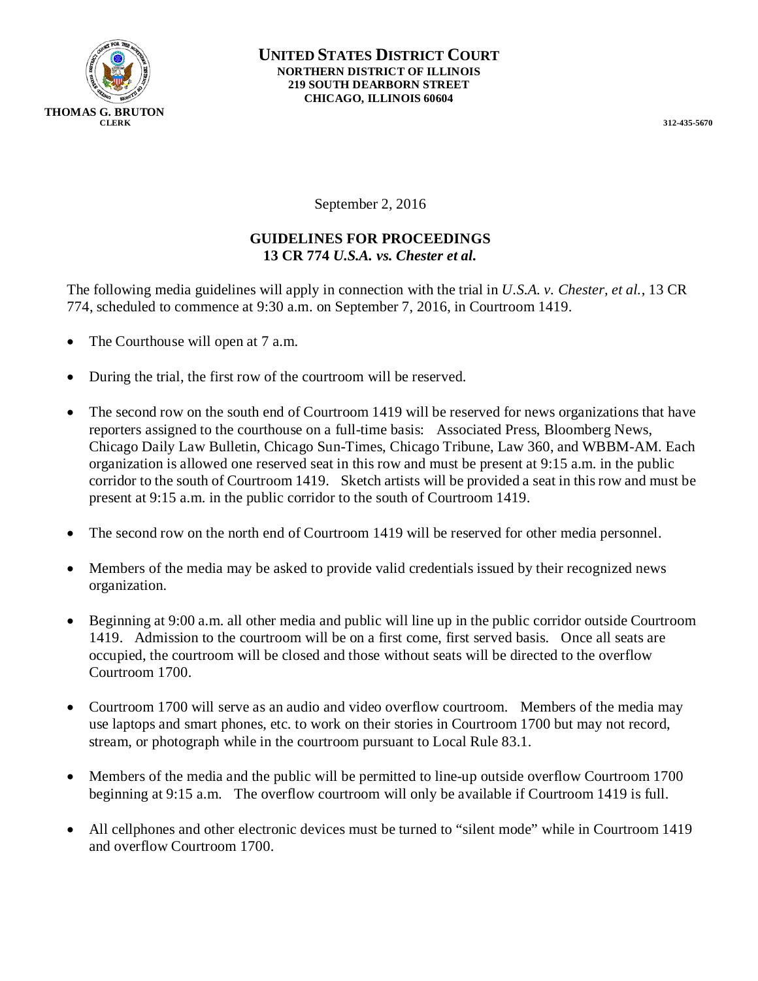

September 2, 2016

## **GUIDELINES FOR PROCEEDINGS 13 CR 774** *U.S.A. vs. Chester et al.*

The following media guidelines will apply in connection with the trial in *U.S.A. v. Chester, et al.*, 13 CR 774, scheduled to commence at 9:30 a.m. on September 7, 2016, in Courtroom 1419.

- The Courthouse will open at 7 a.m.
- During the trial, the first row of the courtroom will be reserved.
- The second row on the south end of Courtroom 1419 will be reserved for news organizations that have reporters assigned to the courthouse on a full-time basis: Associated Press, Bloomberg News, Chicago Daily Law Bulletin, Chicago Sun-Times, Chicago Tribune, Law 360, and WBBM-AM. Each organization is allowed one reserved seat in this row and must be present at 9:15 a.m. in the public corridor to the south of Courtroom 1419. Sketch artists will be provided a seat in this row and must be present at 9:15 a.m. in the public corridor to the south of Courtroom 1419.
- The second row on the north end of Courtroom 1419 will be reserved for other media personnel.
- Members of the media may be asked to provide valid credentials issued by their recognized news organization.
- Beginning at 9:00 a.m. all other media and public will line up in the public corridor outside Courtroom 1419. Admission to the courtroom will be on a first come, first served basis. Once all seats are occupied, the courtroom will be closed and those without seats will be directed to the overflow Courtroom 1700.
- Courtroom 1700 will serve as an audio and video overflow courtroom. Members of the media may use laptops and smart phones, etc. to work on their stories in Courtroom 1700 but may not record, stream, or photograph while in the courtroom pursuant to Local Rule 83.1.
- Members of the media and the public will be permitted to line-up outside overflow Courtroom 1700 beginning at 9:15 a.m. The overflow courtroom will only be available if Courtroom 1419 is full.
- All cellphones and other electronic devices must be turned to "silent mode" while in Courtroom 1419 and overflow Courtroom 1700.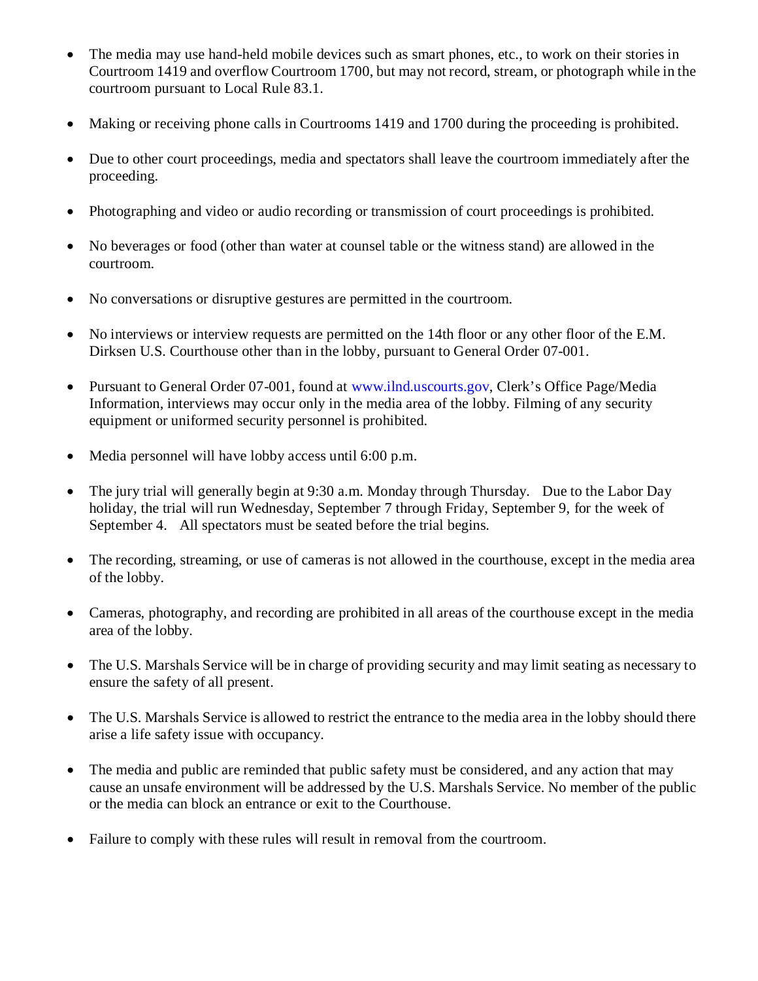- The media may use hand-held mobile devices such as smart phones, etc., to work on their stories in Courtroom 1419 and overflow Courtroom 1700, but may not record, stream, or photograph while in the courtroom pursuant to Local Rule 83.1.
- Making or receiving phone calls in Courtrooms 1419 and 1700 during the proceeding is prohibited.
- Due to other court proceedings, media and spectators shall leave the courtroom immediately after the proceeding.
- Photographing and video or audio recording or transmission of court proceedings is prohibited.
- No beverages or food (other than water at counsel table or the witness stand) are allowed in the courtroom.
- No conversations or disruptive gestures are permitted in the courtroom.
- No interviews or interview requests are permitted on the 14th floor or any other floor of the E.M. Dirksen U.S. Courthouse other than in the lobby, pursuant to General Order 07-001.
- Pursuant to General Order 07-001, found at www.ilnd.uscourts.gov, Clerk's Office Page/Media Information, interviews may occur only in the media area of the lobby. Filming of any security equipment or uniformed security personnel is prohibited.
- Media personnel will have lobby access until 6:00 p.m.
- The jury trial will generally begin at 9:30 a.m. Monday through Thursday. Due to the Labor Day holiday, the trial will run Wednesday, September 7 through Friday, September 9, for the week of September 4. All spectators must be seated before the trial begins.
- The recording, streaming, or use of cameras is not allowed in the courthouse, except in the media area of the lobby.
- Cameras, photography, and recording are prohibited in all areas of the courthouse except in the media area of the lobby.
- The U.S. Marshals Service will be in charge of providing security and may limit seating as necessary to ensure the safety of all present.
- The U.S. Marshals Service is allowed to restrict the entrance to the media area in the lobby should there arise a life safety issue with occupancy.
- The media and public are reminded that public safety must be considered, and any action that may cause an unsafe environment will be addressed by the U.S. Marshals Service. No member of the public or the media can block an entrance or exit to the Courthouse.
- Failure to comply with these rules will result in removal from the courtroom.